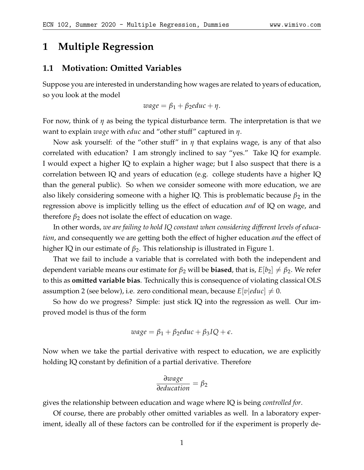# **1 Multiple Regression**

#### **1.1 Motivation: Omitted Variables**

Suppose you are interested in understanding how wages are related to years of education, so you look at the model

$$
wage = \beta_1 + \beta_2 educ + \eta.
$$

For now, think of *η* as being the typical disturbance term. The interpretation is that we want to explain *wage* with *educ* and "other stuff" captured in *η*.

Now ask yourself: of the "other stuff" in *η* that explains wage, is any of that also correlated with education? I am strongly inclined to say "yes." Take IQ for example. I would expect a higher IQ to explain a higher wage; but I also suspect that there is a correlation between IQ and years of education (e.g. college students have a higher IQ than the general public). So when we consider someone with more education, we are also likely considering someone with a higher IQ. This is problematic because  $\beta_2$  in the regression above is implicitly telling us the effect of education *and* of IQ on wage, and therefore  $\beta_2$  does not isolate the effect of education on wage.

In other words, *we are failing to hold IQ constant when considering different levels of education*, and consequently we are getting both the effect of higher education *and* the effect of higher IQ in our estimate of *β*2. This relationship is illustrated in Figure [1.](#page-1-0)

That we fail to include a variable that is correlated with both the independent and dependent variable means our estimate for  $\beta_2$  will be **biased**, that is,  $E[b_2] \neq \beta_2$ . We refer to this as **omitted variable bias**. Technically this is consequence of violating classical OLS assumption 2 (see below), i.e. zero conditional mean, because  $E[v|educ] \neq 0$ .

So how do we progress? Simple: just stick IQ into the regression as well. Our improved model is thus of the form

$$
wage = \beta_1 + \beta_2 educ + \beta_3 IQ + \epsilon.
$$

Now when we take the partial derivative with respect to education, we are explicitly holding IQ constant by definition of a partial derivative. Therefore

$$
\frac{\partial wage}{\partial education} = \beta_2
$$

gives the relationship between education and wage where IQ is being *controlled for*.

Of course, there are probably other omitted variables as well. In a laboratory experiment, ideally all of these factors can be controlled for if the experiment is properly de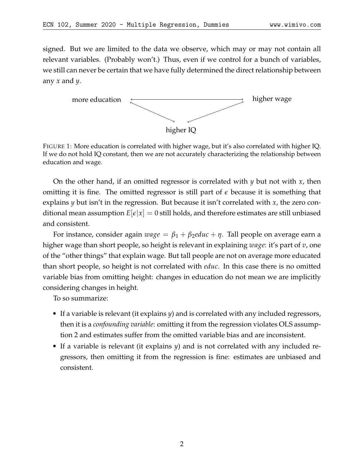signed. But we are limited to the data we observe, which may or may not contain all relevant variables. (Probably won't.) Thus, even if we control for a bunch of variables, we still can never be certain that we have fully determined the direct relationship between any *x* and *y*.

<span id="page-1-0"></span>

FIGURE 1: More education is correlated with higher wage, but it's also correlated with higher IQ. If we do not hold IQ constant, then we are not accurately characterizing the relationship between education and wage.

On the other hand, if an omitted regressor is correlated with *y* but not with *x*, then omitting it is fine. The omitted regressor is still part of *e* because it is something that explains *y* but isn't in the regression. But because it isn't correlated with *x*, the zero conditional mean assumption  $E[\epsilon|x] = 0$  still holds, and therefore estimates are still unbiased and consistent.

For instance, consider again *wage* = *β*<sup>1</sup> + *β*2*educ* + *η*. Tall people on average earn a higher wage than short people, so height is relevant in explaining *wage*: it's part of *v*, one of the "other things" that explain wage. But tall people are not on average more educated than short people, so height is not correlated with *educ*. In this case there is no omitted variable bias from omitting height: changes in education do not mean we are implicitly considering changes in height.

To so summarize:

- If a variable is relevant (it explains *y*) and is correlated with any included regressors, then it is a *confounding variable*: omitting it from the regression violates OLS assumption 2 and estimates suffer from the omitted variable bias and are inconsistent.
- If a variable is relevant (it explains *y*) and is not correlated with any included regressors, then omitting it from the regression is fine: estimates are unbiased and consistent.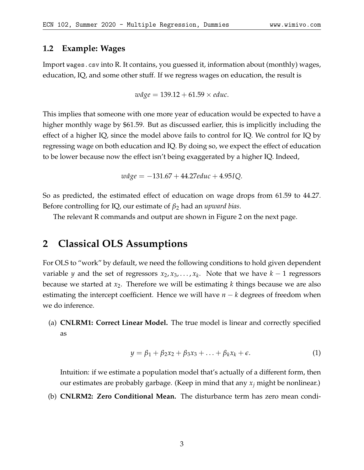#### **1.2 Example: Wages**

Import wages.csv into R. It contains, you guessed it, information about (monthly) wages, education, IQ, and some other stuff. If we regress wages on education, the result is

 $w\hat{a}$ ge = 139.12 + 61.59  $\times$  *educ*.

This implies that someone with one more year of education would be expected to have a higher monthly wage by \$61.59. But as discussed earlier, this is implicitly including the effect of a higher IQ, since the model above fails to control for IQ. We control for IQ by regressing wage on both education and IQ. By doing so, we expect the effect of education to be lower because now the effect isn't being exaggerated by a higher IQ. Indeed,

*wage* ˆ = −131.67 + 44.27*educ* + 4.95*IQ*.

So as predicted, the estimated effect of education on wage drops from 61.59 to 44.27. Before controlling for IQ, our estimate of *β*<sup>2</sup> had an *upward bias*.

The relevant R commands and output are shown in Figure [2](#page-3-0) on the next page.

### **2 Classical OLS Assumptions**

For OLS to "work" by default, we need the following conditions to hold given dependent variable *y* and the set of regressors  $x_2, x_3, \ldots, x_k$ . Note that we have  $k-1$  regressors because we started at *x*2. Therefore we will be estimating *k* things because we are also estimating the intercept coefficient. Hence we will have *n* − *k* degrees of freedom when we do inference.

(a) **CNLRM1: Correct Linear Model.** The true model is linear and correctly specified as

$$
y = \beta_1 + \beta_2 x_2 + \beta_3 x_3 + \ldots + \beta_k x_k + \epsilon. \tag{1}
$$

Intuition: if we estimate a population model that's actually of a different form, then our estimates are probably garbage. (Keep in mind that any *x<sup>j</sup>* might be nonlinear.)

(b) **CNLRM2: Zero Conditional Mean.** The disturbance term has zero mean condi-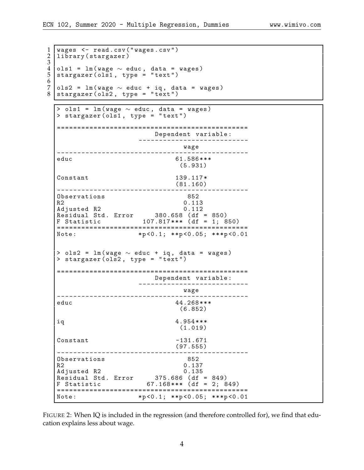```
1 | wages <- read.csv("wages.csv")<br>2 | library(stargazer)
  library (stargazer)
\frac{3}{4}4 ols1 = lm ( wage ∼ educ , data = wages )
5 \vert \texttt{stargazer(ols1, type = "text")}6
7 ols2 = lm ( wage ∼ educ + iq , data = wages )
8 stargazer ( \texttt{ols2} , type = "text" )
  > ols1 = lm(wage \sim educ, data = wages)
  > stargazer ( ols1 , type = " text " )
  ===============================================
                         Dependent variable :
                      ---------------------------
                           ---<br>wage
  -----------------------------------------------
                              61.586***
                               (5.931)
  Constant 139.117*(81.160)
  -----------------------------------------------
  Observations 852<br>R2 0.113
  Adjusted R2 0.112
  Adjusted R2 0.112
  Residual Std. Error     380.658 (df = 850)
  F Statistic 107.817 * * * ( df = 1; 850)
  ===============================================
                     *p < 0.1; **p < 0.05; ***p < 0.01> ols2 = lm ( wage ∼ educ + iq , data = wages )
  > stargazer (\overline{ols2}, type = "text")
  ===============================================
                         Dependent variable :
                      ---------------------------
                              wage
  -----------------------------------------------
                               educ 44.268 * * *
                                (6.852)
  iq 4.954 * * *
                               (1.019)
  Constant -131.671(97.555)
  -----------------------------------------------
  Observations 852<br>R2 0.137
  R2 0.137<br>Adjusted R2 0.135
  Adjusted R2 0.135
  Residual Std. Error     375.686 (df = 849)
  F Statistic 67.168 * * * ( df = 2; 849)
  ===============================================
                   Note : *p <0.1; * *p <0.05; * * *p <0.01
```
FIGURE 2: When IQ is included in the regression (and therefore controlled for), we find that education explains less about wage.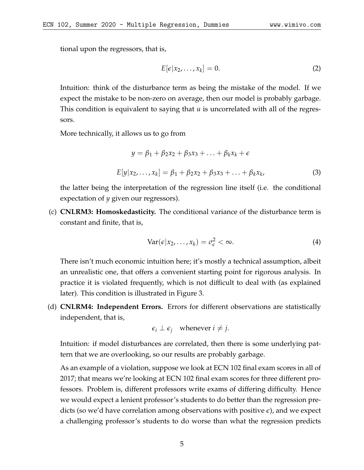tional upon the regressors, that is,

$$
E[\epsilon|x_2,\ldots,x_k]=0.\t\t(2)
$$

Intuition: think of the disturbance term as being the mistake of the model. If we expect the mistake to be non-zero on average, then our model is probably garbage. This condition is equivalent to saying that *u* is uncorrelated with all of the regressors.

More technically, it allows us to go from

$$
y = \beta_1 + \beta_2 x_2 + \beta_3 x_3 + \dots + \beta_k x_k + \epsilon
$$
  

$$
E[y|x_2, \dots, x_k] = \beta_1 + \beta_2 x_2 + \beta_3 x_3 + \dots + \beta_k x_k,
$$
 (3)

the latter being the interpretation of the regression line itself (i.e. the conditional expectation of *y* given our regressors).

(c) **CNLRM3: Homoskedasticity.** The conditional variance of the disturbance term is constant and finite, that is,

$$
Var(\epsilon | x_2, \dots, x_k) = \sigma_{\epsilon}^2 < \infty. \tag{4}
$$

There isn't much economic intuition here; it's mostly a technical assumption, albeit an unrealistic one, that offers a convenient starting point for rigorous analysis. In practice it is violated frequently, which is not difficult to deal with (as explained later). This condition is illustrated in Figure [3.](#page-5-0)

(d) **CNLRM4: Independent Errors.** Errors for different observations are statistically independent, that is,

$$
\epsilon_i \perp \epsilon_j
$$
 whenever  $i \neq j$ .

Intuition: if model disturbances are correlated, then there is some underlying pattern that we are overlooking, so our results are probably garbage.

As an example of a violation, suppose we look at ECN 102 final exam scores in all of 2017; that means we're looking at ECN 102 final exam scores for three different professors. Problem is, different professors write exams of differing difficulty. Hence we would expect a lenient professor's students to do better than the regression predicts (so we'd have correlation among observations with positive *e*), and we expect a challenging professor's students to do worse than what the regression predicts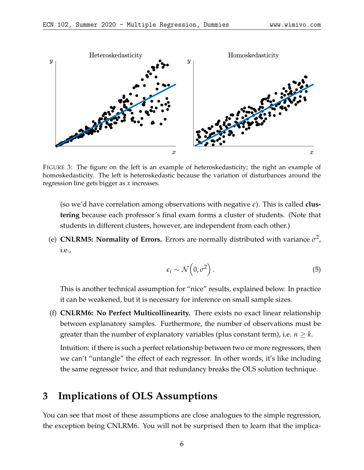<span id="page-5-0"></span>

FIGURE 3: The figure on the left is an example of heteroskedasticity; the right an example of homoskedasticity. The left is heteroskedastic because the variation of disturbances around the regression line gets bigger as *x* increases.

(so we'd have correlation among observations with negative *e*). This is called **clustering** because each professor's final exam forms a cluster of students. (Note that students in different clusters, however, are independent from each other.)

(e) **CNLRM5: Normality of Errors.** Errors are normally distributed with variance  $\sigma^2$ , i.e.,

$$
\epsilon_i \sim \mathcal{N}\left(0, \sigma^2\right). \tag{5}
$$

This is another technical assumption for "nice" results, explained below. In practice it can be weakened, but it is necessary for inference on small sample sizes.

(f) **CNLRM6: No Perfect Multicollinearity.** There exists no exact linear relationship between explanatory samples. Furthermore, the number of observations must be greater than the number of explanatory variables (plus constant term), i.e.  $n \geq k$ .

Intuition: if there is such a perfect relationship between two or more regressors, then we can't "untangle" the effect of each regressor. In other words, it's like including the same regressor twice, and that redundancy breaks the OLS solution technique.

## **3 Implications of OLS Assumptions**

You can see that most of these assumptions are close analogues to the simple regression, the exception being CNLRM6. You will not be surprised then to learn that the implica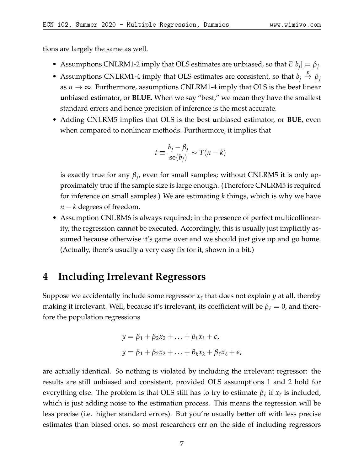tions are largely the same as well.

- Assumptions CNLRM1-2 imply that OLS estimates are unbiased, so that  $E[b_j] = \beta_j$ .
- Assumptions CNLRM1-4 imply that OLS estimates are consistent, so that  $b_j \stackrel{p}{\rightarrow} \beta_j$ as *n* → ∞. Furthermore, assumptions CNLRM1-4 imply that OLS is the **b**est **l**inear **u**nbiased **e**stimator, or **BLUE**. When we say "best," we mean they have the smallest standard errors and hence precision of inference is the most accurate.
- Adding CNLRM5 implies that OLS is the **b**est **u**nbiased **e**stimator, or **BUE**, even when compared to nonlinear methods. Furthermore, it implies that

$$
t \equiv \frac{b_j - \beta_j}{\text{se}(b_j)} \sim T(n - k)
$$

is exactly true for any *β<sup>j</sup>* , even for small samples; without CNLRM5 it is only approximately true if the sample size is large enough. (Therefore CNLRM5 is required for inference on small samples.) We are estimating *k* things, which is why we have *n* − *k* degrees of freedom.

• Assumption CNLRM6 is always required; in the presence of perfect multicollinearity, the regression cannot be executed. Accordingly, this is usually just implicitly assumed because otherwise it's game over and we should just give up and go home. (Actually, there's usually a very easy fix for it, shown in a bit.)

## **4 Including Irrelevant Regressors**

Suppose we accidentally include some regressor  $x_\ell$  that does not explain  $y$  at all, thereby making it irrelevant. Well, because it's irrelevant, its coefficient will be  $\beta_\ell = 0$ , and therefore the population regressions

$$
y = \beta_1 + \beta_2 x_2 + \ldots + \beta_k x_k + \epsilon,
$$
  

$$
y = \beta_1 + \beta_2 x_2 + \ldots + \beta_k x_k + \beta_\ell x_\ell + \epsilon,
$$

are actually identical. So nothing is violated by including the irrelevant regressor: the results are still unbiased and consistent, provided OLS assumptions 1 and 2 hold for everything else. The problem is that OLS still has to try to estimate  $\beta_\ell$  if  $x_\ell$  is included, which is just adding noise to the estimation process. This means the regression will be less precise (i.e. higher standard errors). But you're usually better off with less precise estimates than biased ones, so most researchers err on the side of including regressors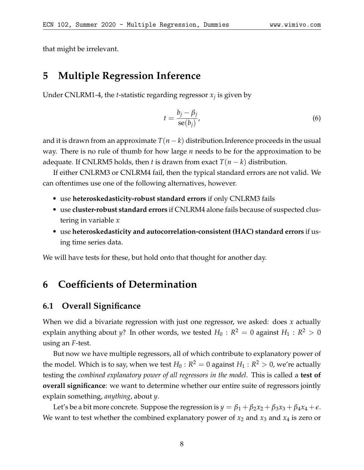that might be irrelevant.

## **5 Multiple Regression Inference**

Under CNLRM1-4, the *t*-statistic regarding regressor *x<sup>j</sup>* is given by

$$
t = \frac{b_j - \beta_j}{\text{se}(b_j)},\tag{6}
$$

and it is drawn from an approximate  $T(n-k)$  distribution.Inference proceeds in the usual way. There is no rule of thumb for how large *n* needs to be for the approximation to be adequate. If CNLRM5 holds, then *t* is drawn from exact  $T(n-k)$  distribution.

If either CNLRM3 or CNLRM4 fail, then the typical standard errors are not valid. We can oftentimes use one of the following alternatives, however.

- use **heteroskedasticity-robust standard errors** if only CNLRM3 fails
- use **cluster-robust standard errors** if CNLRM4 alone fails because of suspected clustering in variable *x*
- use **heteroskedasticity and autocorrelation-consistent (HAC) standard errors** if using time series data.

We will have tests for these, but hold onto that thought for another day.

# **6 Coefficients of Determination**

#### **6.1 Overall Significance**

When we did a bivariate regression with just one regressor, we asked: does *x* actually explain anything about *y*? In other words, we tested  $H_0$  :  $R^2 = 0$  against  $H_1 : R^2 > 0$ using an *F*-test.

But now we have multiple regressors, all of which contribute to explanatory power of the model. Which is to say, when we test  $H_0: R^2 = 0$  against  $H_1: R^2 > 0$ , we're actually testing the *combined explanatory power of all regressors in the model*. This is called a **test of overall significance**: we want to determine whether our entire suite of regressors jointly explain something, *anything*, about *y*.

Let's be a bit more concrete. Suppose the regression is  $y = \beta_1 + \beta_2 x_2 + \beta_3 x_3 + \beta_4 x_4 + \epsilon$ . We want to test whether the combined explanatory power of  $x_2$  and  $x_3$  and  $x_4$  is zero or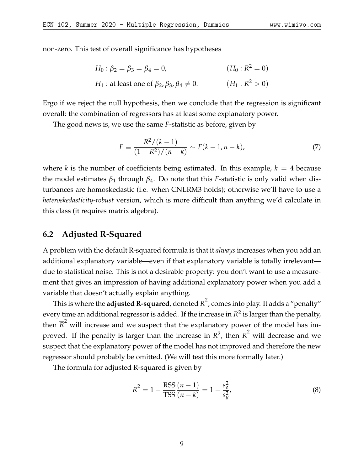non-zero. This test of overall significance has hypotheses

$$
H_0: \beta_2 = \beta_3 = \beta_4 = 0, \qquad (H_0: R^2 = 0)
$$
  
\n
$$
H_1: \text{at least one of } \beta_2, \beta_3, \beta_4 \neq 0. \qquad (H_1: R^2 > 0)
$$

Ergo if we reject the null hypothesis, then we conclude that the regression is significant overall: the combination of regressors has at least some explanatory power.

The good news is, we use the same *F*-statistic as before, given by

$$
F \equiv \frac{R^2/(k-1)}{(1 - R^2)/(n - k)} \sim F(k - 1, n - k),\tag{7}
$$

where *k* is the number of coefficients being estimated. In this example,  $k = 4$  because the model estimates  $β_1$  through  $β_4$ . Do note that this *F*-statistic is only valid when disturbances are homoskedastic (i.e. when CNLRM3 holds); otherwise we'll have to use a *heteroskedasticity-robust* version, which is more difficult than anything we'd calculate in this class (it requires matrix algebra).

#### **6.2 Adjusted R-Squared**

A problem with the default R-squared formula is that it *always* increases when you add an additional explanatory variable—even if that explanatory variable is totally irrelevant due to statistical noise. This is not a desirable property: you don't want to use a measurement that gives an impression of having additional explanatory power when you add a variable that doesn't actually explain anything.

This is where the **adjusted R-squared**, denoted  $\overline{\mathcal{R}}^2$ , comes into play. It adds a "penalty" every time an additional regressor is added. If the increase in  $R^2$  is larger than the penalty, then  $\overline{R}^2$  will increase and we suspect that the explanatory power of the model has improved. If the penalty is larger than the increase in  $R^2$ , then  $\overline{R}^2$  will decrease and we suspect that the explanatory power of the model has not improved and therefore the new regressor should probably be omitted. (We will test this more formally later.)

The formula for adjusted R-squared is given by

$$
\overline{R}^2 = 1 - \frac{\text{RSS}}{\text{TSS}} \frac{(n-1)}{(n-k)} = 1 - \frac{s_e^2}{s_y^2},\tag{8}
$$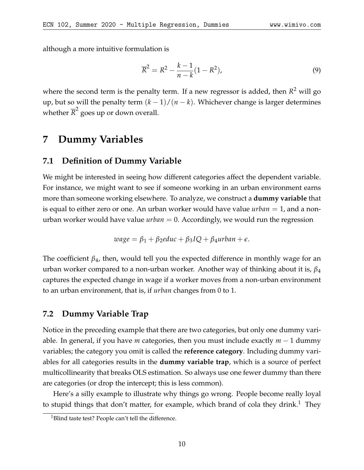although a more intuitive formulation is

$$
\overline{R}^2 = R^2 - \frac{k-1}{n-k}(1 - R^2),
$$
\n(9)

where the second term is the penalty term. If a new regressor is added, then *R* <sup>2</sup> will go up, but so will the penalty term  $(k-1)/(n-k)$ . Whichever change is larger determines whether  $\overline{R}^2$  goes up or down overall.

### **7 Dummy Variables**

#### **7.1 Definition of Dummy Variable**

We might be interested in seeing how different categories affect the dependent variable. For instance, we might want to see if someone working in an urban environment earns more than someone working elsewhere. To analyze, we construct a **dummy variable** that is equal to either zero or one. An urban worker would have value *urban* = 1, and a nonurban worker would have value *urban* = 0. Accordingly, we would run the regression

$$
wage = \beta_1 + \beta_2 educ + \beta_3 IQ + \beta_4 urban + \epsilon.
$$

The coefficient *β*4, then, would tell you the expected difference in monthly wage for an urban worker compared to a non-urban worker. Another way of thinking about it is, *β*<sup>4</sup> captures the expected change in wage if a worker moves from a non-urban environment to an urban environment, that is, if *urban* changes from 0 to 1.

#### **7.2 Dummy Variable Trap**

Notice in the preceding example that there are two categories, but only one dummy variable. In general, if you have *m* categories, then you must include exactly *m* − 1 dummy variables; the category you omit is called the **reference category**. Including dummy variables for all categories results in the **dummy variable trap**, which is a source of perfect multicollinearity that breaks OLS estimation. So always use one fewer dummy than there are categories (or drop the intercept; this is less common).

Here's a silly example to illustrate why things go wrong. People become really loyal to stupid things that don't matter, for example, which brand of cola they drink.<sup>[1](#page-9-0)</sup> They

<span id="page-9-0"></span><sup>&</sup>lt;sup>1</sup>Blind taste test? People can't tell the difference.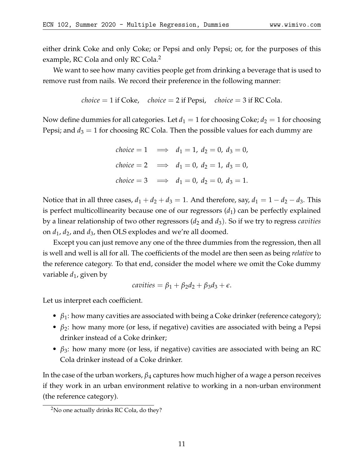either drink Coke and only Coke; or Pepsi and only Pepsi; or, for the purposes of this example, RC Cola and only RC Cola.<sup>[2](#page-10-0)</sup>

We want to see how many cavities people get from drinking a beverage that is used to remove rust from nails. We record their preference in the following manner:

*choice* = 1 if 
$$
Coke
$$
, *choice* = 2 if  $Pepsi$ , *choice* = 3 if  $RC Cola$ .

Now define dummies for all categories. Let  $d_1 = 1$  for choosing Coke;  $d_2 = 1$  for choosing Pepsi; and  $d_3 = 1$  for choosing RC Cola. Then the possible values for each dummy are

$$
choice = 1 \implies d_1 = 1, d_2 = 0, d_3 = 0,
$$
  
\n
$$
choice = 2 \implies d_1 = 0, d_2 = 1, d_3 = 0,
$$
  
\n
$$
choice = 3 \implies d_1 = 0, d_2 = 0, d_3 = 1.
$$

Notice that in all three cases,  $d_1 + d_2 + d_3 = 1$ . And therefore, say,  $d_1 = 1 - d_2 - d_3$ . This is perfect multicollinearity because one of our regressors  $(d_1)$  can be perfectly explained by a linear relationship of two other regressors (*d*<sup>2</sup> and *d*3). So if we try to regress *cavities* on *d*1, *d*2, and *d*3, then OLS explodes and we're all doomed.

Except you can just remove any one of the three dummies from the regression, then all is well and well is all for all. The coefficients of the model are then seen as being *relative* to the reference category. To that end, consider the model where we omit the Coke dummy variable  $d_1$ , given by

$$
cavities = \beta_1 + \beta_2 d_2 + \beta_3 d_3 + \epsilon.
$$

Let us interpret each coefficient.

- *β*<sub>1</sub>: how many cavities are associated with being a Coke drinker (reference category);
- $\beta_2$ : how many more (or less, if negative) cavities are associated with being a Pepsi drinker instead of a Coke drinker;
- $\beta_3$ : how many more (or less, if negative) cavities are associated with being an RC Cola drinker instead of a Coke drinker.

In the case of the urban workers, *β*<sup>4</sup> captures how much higher of a wage a person receives if they work in an urban environment relative to working in a non-urban environment (the reference category).

<span id="page-10-0"></span><sup>2</sup>No one actually drinks RC Cola, do they?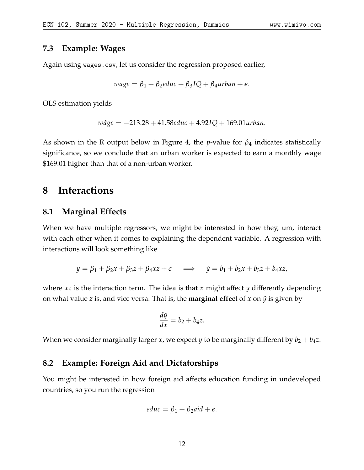### **7.3 Example: Wages**

Again using wages.csv, let us consider the regression proposed earlier,

$$
wage = \beta_1 + \beta_2 educ + \beta_3 IQ + \beta_4 urban + \epsilon.
$$

OLS estimation yields

$$
w\hat{a}ge = -213.28 + 41.58educ + 4.92IQ + 169.01urban.
$$

As shown in the R output below in Figure [4,](#page-12-0) the *p*-value for *β*<sup>4</sup> indicates statistically significance, so we conclude that an urban worker is expected to earn a monthly wage \$169.01 higher than that of a non-urban worker.

## **8 Interactions**

#### **8.1 Marginal Effects**

When we have multiple regressors, we might be interested in how they, um, interact with each other when it comes to explaining the dependent variable. A regression with interactions will look something like

$$
y = \beta_1 + \beta_2 x + \beta_3 z + \beta_4 xz + \epsilon \implies \hat{y} = b_1 + b_2 x + b_3 z + b_4 xz,
$$

where *xz* is the interaction term. The idea is that *x* might affect *y* differently depending on what value *z* is, and vice versa. That is, the **marginal effect** of *x* on  $\hat{y}$  is given by

$$
\frac{d\hat{y}}{dx} = b_2 + b_4 z.
$$

When we consider marginally larger *x*, we expect *y* to be marginally different by  $b_2 + b_4 z$ .

### **8.2 Example: Foreign Aid and Dictatorships**

You might be interested in how foreign aid affects education funding in undeveloped countries, so you run the regression

$$
educ = \beta_1 + \beta_2 aid + \epsilon.
$$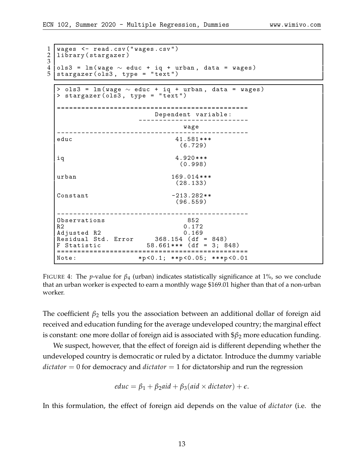<span id="page-12-0"></span>

| $\mathbf 1$<br>2<br>3 | wages <- read.csv("wages.csv")<br>library (stargazer)                                         |                                                                                                                |  |
|-----------------------|-----------------------------------------------------------------------------------------------|----------------------------------------------------------------------------------------------------------------|--|
| 4<br>5                | ols3 = $lm(wage \sim educ + iq + urban, data = wages)$<br>stargazer (ols3, type = "text")     |                                                                                                                |  |
|                       |                                                                                               |                                                                                                                |  |
|                       | > ols3 = $lm(wage \sim educ + iq + urban, data = wages)$<br>> stargazer (ols3, type = "text") |                                                                                                                |  |
|                       |                                                                                               |                                                                                                                |  |
|                       |                                                                                               | Dependent variable:                                                                                            |  |
|                       |                                                                                               | wage                                                                                                           |  |
|                       | educ                                                                                          | 41.581***<br>(6.729)                                                                                           |  |
|                       | iq                                                                                            | $4.920***$<br>(0.998)                                                                                          |  |
|                       | urban                                                                                         | 169.014***<br>(28.133)                                                                                         |  |
|                       | Constant                                                                                      | $-213.282**$<br>(96.559)                                                                                       |  |
|                       | Observations<br>R <sub>2</sub><br>Adjusted R2<br>Statistic<br>======================          | 852<br>0.172<br>0.169<br>Residual Std. Error $368.154$ (df = 848)<br>$58.661***$ (df = 3; 848)<br>.=========== |  |
|                       | Note:                                                                                         | $*p < 0.1; **p < 0.05; ***p < 0.01$                                                                            |  |

FIGURE 4: The *p*-value for  $\beta_4$  (urban) indicates statistically significance at 1%, so we conclude that an urban worker is expected to earn a monthly wage \$169.01 higher than that of a non-urban worker.

The coefficient  $\beta_2$  tells you the association between an additional dollar of foreign aid received and education funding for the average undeveloped country; the marginal effect is constant: one more dollar of foreign aid is associated with \$*β*<sup>2</sup> more education funding.

We suspect, however, that the effect of foreign aid is different depending whether the undeveloped country is democratic or ruled by a dictator. Introduce the dummy variable *dictator* = 0 for democracy and *dictator* = 1 for dictatorship and run the regression

$$
educ = \beta_1 + \beta_2 aid + \beta_3 (aid \times dictator) + \epsilon.
$$

In this formulation, the effect of foreign aid depends on the value of *dictator* (i.e. the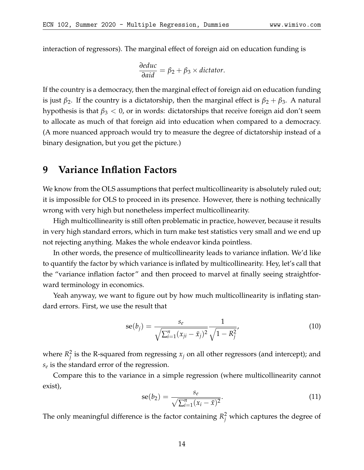interaction of regressors). The marginal effect of foreign aid on education funding is

$$
\frac{\partial educ}{\partial aid} = \beta_2 + \beta_3 \times dictionary.
$$

If the country is a democracy, then the marginal effect of foreign aid on education funding is just  $\beta_2$ . If the country is a dictatorship, then the marginal effect is  $\beta_2 + \beta_3$ . A natural hypothesis is that  $\beta_3 < 0$ , or in words: dictatorships that receive foreign aid don't seem to allocate as much of that foreign aid into education when compared to a democracy. (A more nuanced approach would try to measure the degree of dictatorship instead of a binary designation, but you get the picture.)

### **9 Variance Inflation Factors**

We know from the OLS assumptions that perfect multicollinearity is absolutely ruled out; it is impossible for OLS to proceed in its presence. However, there is nothing technically wrong with very high but nonetheless imperfect multicollinearity.

High multicollinearity is still often problematic in practice, however, because it results in very high standard errors, which in turn make test statistics very small and we end up not rejecting anything. Makes the whole endeavor kinda pointless.

In other words, the presence of multicollinearity leads to variance inflation. We'd like to quantify the factor by which variance is inflated by multicollinearity. Hey, let's call that the "variance inflation factor" and then proceed to marvel at finally seeing straightforward terminology in economics.

Yeah anyway, we want to figure out by how much multicollinearity is inflating standard errors. First, we use the result that

$$
se(b_j) = \frac{s_e}{\sqrt{\sum_{i=1}^n (x_{ji} - \bar{x}_j)^2}} \frac{1}{\sqrt{1 - R_j^2}},
$$
(10)

where  $R_i^2$  $\frac{2}{j}$  is the R-squared from regressing  $x_j$  on all other regressors (and intercept); and *se* is the standard error of the regression.

Compare this to the variance in a simple regression (where multicollinearity cannot exist),

$$
se(b_2) = \frac{s_e}{\sqrt{\sum_{i=1}^n (x_i - \bar{x})^2}}.
$$
\n(11)

The only meaningful difference is the factor containing  $R_j^2$  which captures the degree of